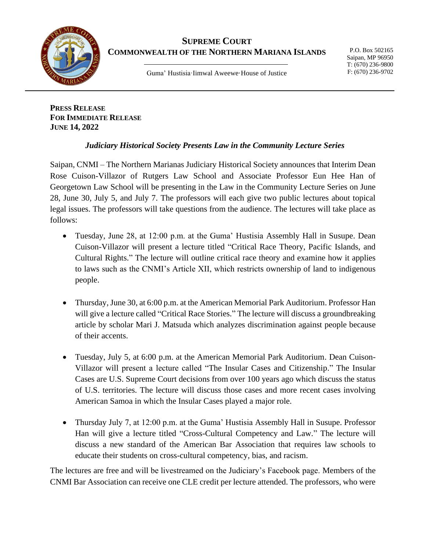

## **SUPREME COURT COMMONWEALTH OF THE NORTHERN MARIANA ISLANDS**

Guma' Hustisia·Iimwal Aweewe·House of Justice

**PRESS RELEASE FOR IMMEDIATE RELEASE JUNE 14, 2022**

## *Judiciary Historical Society Presents Law in the Community Lecture Series*

Saipan, CNMI – The Northern Marianas Judiciary Historical Society announces that Interim Dean Rose Cuison-Villazor of Rutgers Law School and Associate Professor Eun Hee Han of Georgetown Law School will be presenting in the Law in the Community Lecture Series on June 28, June 30, July 5, and July 7. The professors will each give two public lectures about topical legal issues. The professors will take questions from the audience. The lectures will take place as follows:

- Tuesday, June 28, at 12:00 p.m. at the Guma' Hustisia Assembly Hall in Susupe. Dean Cuison-Villazor will present a lecture titled "Critical Race Theory, Pacific Islands, and Cultural Rights." The lecture will outline critical race theory and examine how it applies to laws such as the CNMI's Article XII, which restricts ownership of land to indigenous people.
- Thursday, June 30, at 6:00 p.m. at the American Memorial Park Auditorium. Professor Han will give a lecture called "Critical Race Stories." The lecture will discuss a groundbreaking article by scholar Mari J. Matsuda which analyzes discrimination against people because of their accents.
- Tuesday, July 5, at 6:00 p.m. at the American Memorial Park Auditorium. Dean Cuison-Villazor will present a lecture called "The Insular Cases and Citizenship." The Insular Cases are U.S. Supreme Court decisions from over 100 years ago which discuss the status of U.S. territories. The lecture will discuss those cases and more recent cases involving American Samoa in which the Insular Cases played a major role.
- Thursday July 7, at 12:00 p.m. at the Guma' Hustisia Assembly Hall in Susupe. Professor Han will give a lecture titled "Cross-Cultural Competency and Law." The lecture will discuss a new standard of the American Bar Association that requires law schools to educate their students on cross-cultural competency, bias, and racism.

The lectures are free and will be livestreamed on the Judiciary's Facebook page. Members of the CNMI Bar Association can receive one CLE credit per lecture attended. The professors, who were